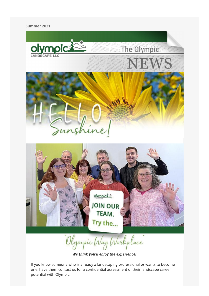#### Summer 2021



"Olympic Way Workplace"

We think you'll enjoy the experience!

If you know someone who is already a landscaping professional or wants to become one, have them contact us for a confidential assessment of their landscape career potential with Olympic.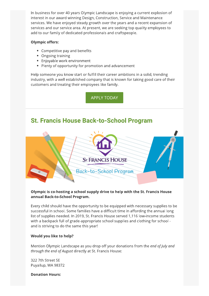In business for over 40 years Olympic Landscape is enjoying a current explosion of interest in our award winning Design, Construction, Service and Maintenance services. We have enjoyed steady growth over the years and a recent expansion of services and our service area. At present, we are seeking top quality employees to add to our family of dedicated professionals and craftspeople.

#### **Olympic offers:**

- Competitive pay and benefits
- Ongoing training
- Enjoyable work environment
- Plenty of opportunity for promotion and advancement

Help someone you know start or fulfill their career ambitions in a solid, trending industry, with a well established company that is known for taking good care of their customers and treating their employees like family.

**APPLY TODAY** 

## **St. Francis House Back-to-School Program**



#### Olympic is co-hosting a school supply drive to help with the St. Francis House annual Back-to-School Program.

Every child should have the opportunity to be equipped with necessary supplies to be successful in school. Some families have a difficult time in affording the annual long list of supplies needed. In 2019, St. Francis House served 1,116 low-income students with a backpack full of grade-appropriate school supplies and clothing for school and is striving to do the same this year!

#### Would you like to help?

Mention Olympic Landscape as you drop off your donations from the end of July and through the end of August directly at St. Francis House:

322 7th Street SE Puyallup, WA 98372

**Donation Hours:**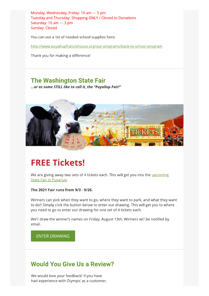Monday, Wednesday, Friday: 10 am - 5 pm Tuesday and Thursday: Shopping ONLY / Closed to Donations Saturday: 10 am - 3 pm Sunday: Closed

You can see a list of needed school supplies here:

http://www.puyallupfrancishouse.org/our-programs/back-to-school-program

Thank you for making a difference!

## **The Washington State Fair**

... or as some STILL like to call it, the "Puyallup Fair!"



# **FREE Tickets!**

We are giving away two sets of 4 tickets each. This will get you into the *upcoming* **State Fair in Puyallup.** 

The 2021 Fair runs from 9/3 - 9/26.

Winners can pick when they want to go, where they want to park, and what they want to do!! Simply click the button below to enter our drawing. This will get you to where you need to go to enter our drawing for one set of 4 tickets each.

We'll draw the winner's names on Friday, August 13th. Winners will be notified by email.

#### **ENTER DRAWING**

### **Would You Give Us a Review?**

We would love your feedback! If you have had experience with Olympic as a customer,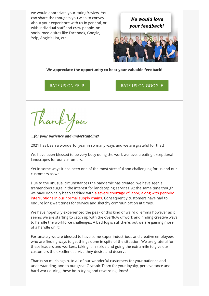we would appreciate your rating/review. You can share the thoughts you wish to convey about your experience with us in general, or with individual staff and crew people, on social media sites like Facebook, Google, Yelp, Angie's List, etc.

We would love your feedback!

We appreciate the opportunity to hear your valuable feedback!

RATE US ON YELP

RATE US ON GOOGLE

...for your patience and understanding!

2021 has been a wonderful year in so many ways and we are grateful for that!

We have been blessed to be very busy doing the work we love, creating exceptional landscapes for our customers.

Yet in some ways it has been one of the most stressful and challenging for us and our customers as well.

Due to the unusual circumstances the pandemic has created, we have seen a tremendous surge in the interest for landscaping services. At the same time though we have ironically been saddled with a severe shortage of labor, along with periodic interruptions in our normal supply chains. Consequently customers have had to endure long wait times for service and sketchy communication at times.

We have hopefully experienced the peak of this kind of weird dilemma however as it seems we are starting to catch up with the overflow of work and finding creative ways to handle the workforce challenges. A backlog is still there, but we are gaining more of a handle on it!

Fortunately we are blessed to have some super industrious and creative employees who are finding ways to get things done in spite of the situation. We are grateful for these leaders and workers, taking it in stride and going the extra mile to give our customers the excellent service they desire and deserve!

Thanks so much again, to all of our wonderful customers for your patience and understanding, and to our great Olympic Team for your loyalty, perseverance and hard work during these both trying and rewarding times!